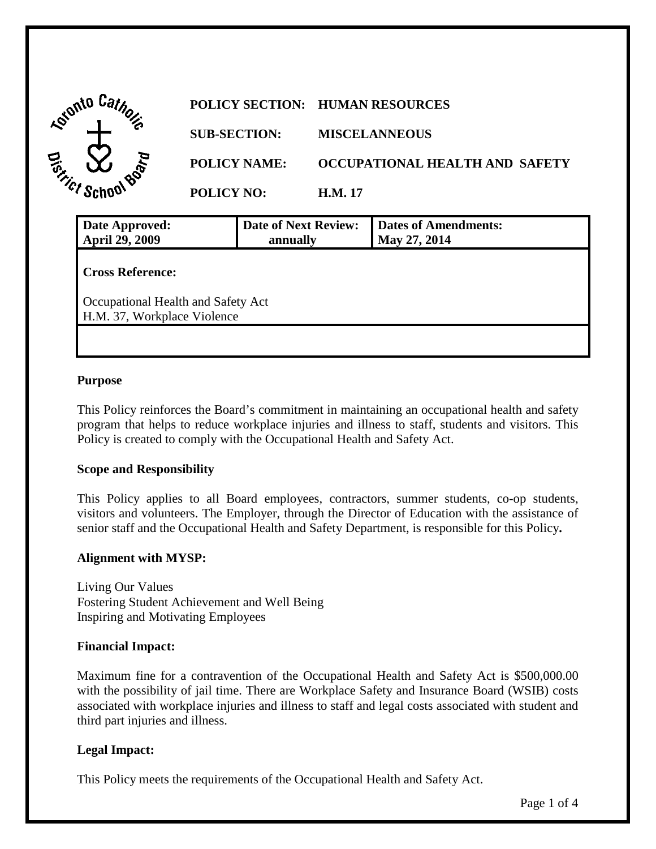| <b>Adonto</b>            |                     | POLICY SECTION: HUMAN RESOURCES |
|--------------------------|---------------------|---------------------------------|
|                          | <b>SUB-SECTION:</b> | <b>MISCELANNEOUS</b>            |
| ୕ୖ୕୶<br>$\alpha^{\rm c}$ | <b>POLICY NAME:</b> | OCCUPATIONAL HEALTH AND SAFETY  |
|                          | <b>POLICY NO:</b>   | <b>H.M. 17</b>                  |

| Date Approved:<br><b>April 29, 2009</b>                           | <b>Date of Next Review:</b><br>annually | <b>Dates of Amendments:</b><br>May 27, 2014 |  |  |
|-------------------------------------------------------------------|-----------------------------------------|---------------------------------------------|--|--|
| <b>Cross Reference:</b>                                           |                                         |                                             |  |  |
| Occupational Health and Safety Act<br>H.M. 37, Workplace Violence |                                         |                                             |  |  |
|                                                                   |                                         |                                             |  |  |

## **Purpose**

 program that helps to reduce workplace injuries and illness to staff, students and visitors. This Policy is created to comply with the Occupational Health and Safety Act. This Policy reinforces the Board's commitment in maintaining an occupational health and safety

## **Scope and Responsibility**

This Policy applies to all Board employees, contractors, summer students, co-op students, visitors and volunteers. The Employer, through the Director of Education with the assistance of senior staff and the Occupational Health and Safety Department, is responsible for this Policy**.** 

## **Alignment with MYSP:**

Living Our Values Fostering Student Achievement and Well Being Inspiring and Motivating Employees

#### **Financial Impact:**

 with the possibility of jail time. There are Workplace Safety and Insurance Board (WSIB) costs Maximum fine for a contravention of the Occupational Health and Safety Act is [\\$500,000.00](https://500,000.00) associated with workplace injuries and illness to staff and legal costs associated with student and third part injuries and illness.

# **Legal Impact:**

This Policy meets the requirements of the Occupational Health and Safety Act.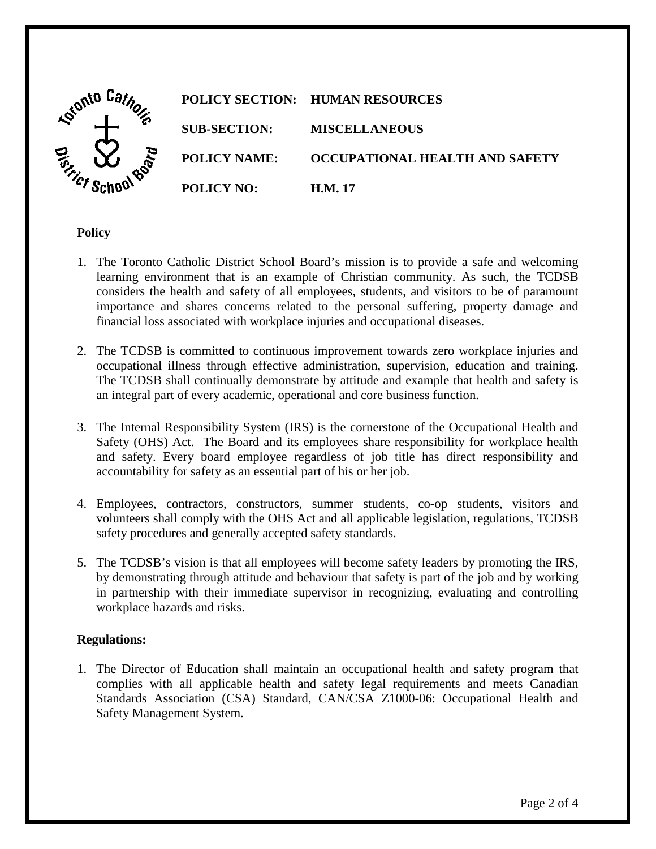

# **Policy**

- importance and shares concerns related to the personal suffering, property damage and financial loss associated with workplace injuries and occupational diseases. 1. The Toronto Catholic District School Board's mission is to provide a safe and welcoming learning environment that is an example of Christian community. As such, the TCDSB considers the health and safety of all employees, students, and visitors to be of paramount
- 2. The TCDSB is committed to continuous improvement towards zero workplace injuries and occupational illness through effective administration, supervision, education and training. The TCDSB shall continually demonstrate by attitude and example that health and safety is an integral part of every academic, operational and core business function.
- accountability for safety as an essential part of his or her job. 3. The Internal Responsibility System (IRS) is the cornerstone of the Occupational Health and Safety (OHS) Act. The Board and its employees share responsibility for workplace health and safety. Every board employee regardless of job title has direct responsibility and
- 4. Employees, contractors, constructors, summer students, co-op students, visitors and volunteers shall comply with the OHS Act and all applicable legislation, regulations, TCDSB safety procedures and generally accepted safety standards.
- 5. The TCDSB's vision is that all employees will become safety leaders by promoting the IRS, by demonstrating through attitude and behaviour that safety is part of the job and by working in partnership with their immediate supervisor in recognizing, evaluating and controlling workplace hazards and risks.

## **Regulations:**

1. The Director of Education shall maintain an occupational health and safety program that complies with all applicable health and safety legal requirements and meets Canadian Standards Association (CSA) Standard, CAN/CSA Z1000-06: Occupational Health and Safety Management System.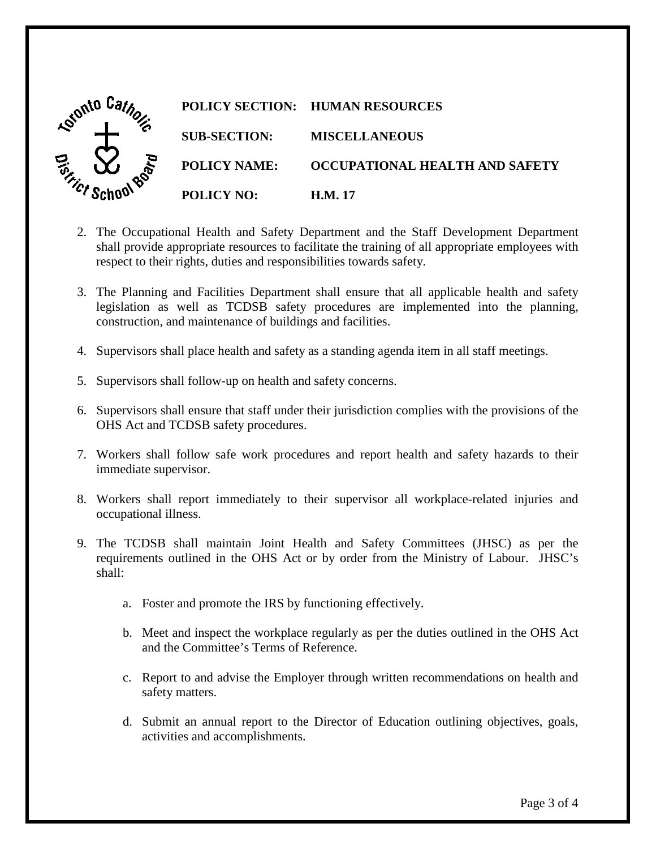

- respect to their rights, duties and responsibilities towards safety. 2. The Occupational Health and Safety Department and the Staff Development Department shall provide appropriate resources to facilitate the training of all appropriate employees with
- 3. The Planning and Facilities Department shall ensure that all applicable health and safety legislation as well as TCDSB safety procedures are implemented into the planning, construction, and maintenance of buildings and facilities.
- 4. Supervisors shall place health and safety as a standing agenda item in all staff meetings.
- 5. Supervisors shall follow-up on health and safety concerns.
- 4. Supervisors shall place health and safety as a standing agenda item in all staff meetings.<br>5. Supervisors shall follow-up on health and safety concerns.<br>6. Supervisors shall ensure that staff under their jurisdiction co OHS Act and TCDSB safety procedures.
- 7. Workers shall follow safe work procedures and report health and safety hazards to their immediate supervisor.
- 8. Workers shall report immediately to their supervisor all workplace-related injuries and occupational illness.
- 9. The TCDSB shall maintain Joint Health and Safety Committees (JHSC) as per the requirements outlined in the OHS Act or by order from the Ministry of Labour. JHSC's shall:
	- a. Foster and promote the IRS by functioning effectively.
	- b. Meet and inspect the workplace regularly as per the duties outlined in the OHS Act and the Committee's Terms of Reference.
	- c. Report to and advise the Employer through written recommendations on health and safety matters.
	- d. Submit an annual report to the Director of Education outlining objectives, goals, activities and accomplishments.